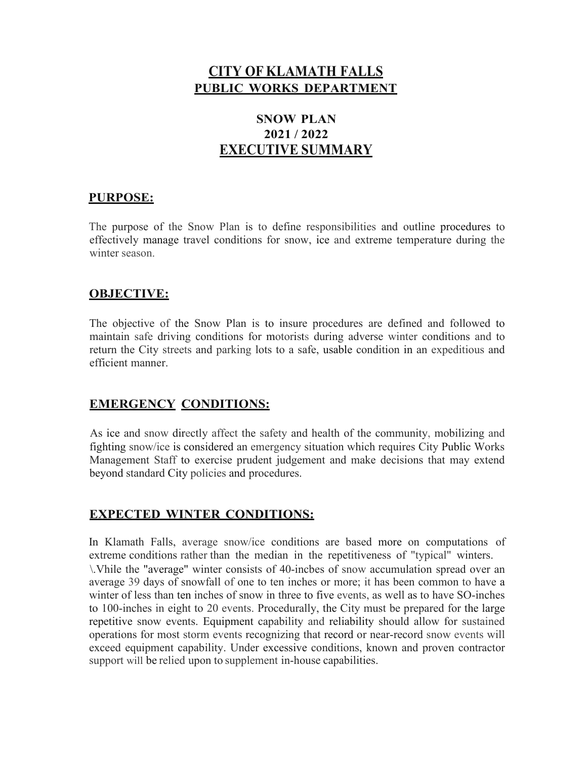## **CITY OF KLAMATH FALLS PUBLIC WORKS DEPARTMENT**

## **SNOW PLAN 2021 / 2022 EXECUTIVE SUMMARY**

### **PURPOSE:**

The purpose of the Snow Plan is to define responsibilities and outline procedures to effectively manage travel conditions for snow, ice and extreme temperature during the winter season.

#### **OBJECTIVE:**

The objective of the Snow Plan is to insure procedures are defined and followed to maintain safe driving conditions for motorists during adverse winter conditions and to return the City streets and parking lots to a safe, usable condition in an expeditious and efficient manner.

#### **EMERGENCY CONDITIONS:**

As ice and snow directly affect the safety and health of the community, mobilizing and fighting snow/ice is considered an emergency situation which requires City Public Works Management Staff to exercise prudent judgement and make decisions that may extend beyond standard City policies and procedures.

#### **EXPECTED WINTER CONDITIONS:**

In Klamath Falls, average snow/ice conditions are based more on computations of extreme conditions rather than the median in the repetitiveness of "typical" winters. \.Vhile the "average" winter consists of 40-incbes of snow accumulation spread over an average 39 days of snowfall of one to ten inches or more; it has been common to have a winter of less than ten inches of snow in three to five events, as well as to have SO-inches to 100-inches in eight to 20 events. Procedurally, the City must be prepared for the large repetitive snow events. Equipment capability and reliability should allow for sustained operations for most storm events recognizing that record or near-record snow events will exceed equipment capability. Under excessive conditions, known and proven contractor support will be relied upon to supplement in-house capabilities.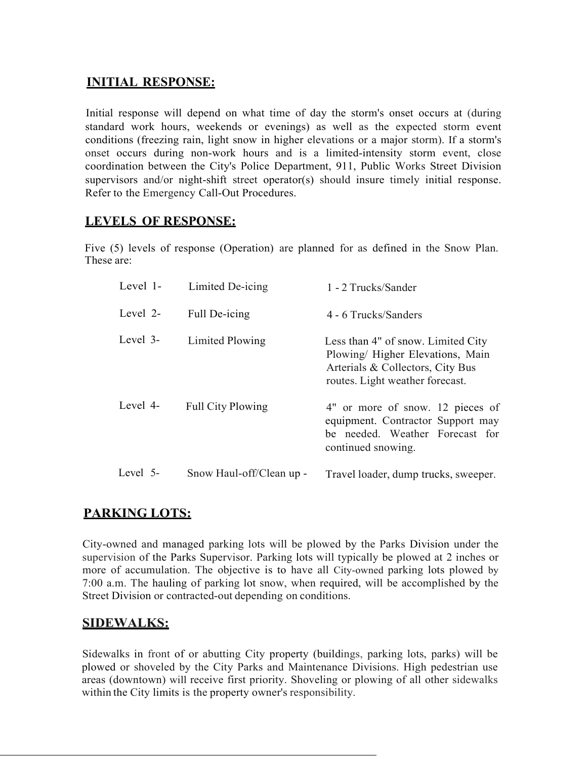### **INITIAL RESPONSE:**

Initial response will depend on what time of day the storm's onset occurs at (during standard work hours, weekends or evenings) as well as the expected storm event conditions (freezing rain, light snow in higher elevations or a major storm). If a storm's onset occurs during non-work hours and is a limited-intensity storm event, close coordination between the City's Police Department, 911, Public Works Street Division supervisors and/or night-shift street operator(s) should insure timely initial response. Refer to the Emergency Call-Out Procedures.

### **LEVELS OF RESPONSE:**

Five (5) levels of response (Operation) are planned for as defined in the Snow Plan. These are:

| Level 1- | Limited De-icing         | 1 - 2 Trucks/Sander                                                                                                                           |
|----------|--------------------------|-----------------------------------------------------------------------------------------------------------------------------------------------|
| Level 2- | Full De-icing            | 4 - 6 Trucks/Sanders                                                                                                                          |
| Level 3- | Limited Plowing          | Less than 4" of snow. Limited City<br>Plowing/ Higher Elevations, Main<br>Arterials & Collectors, City Bus<br>routes. Light weather forecast. |
| Level 4- | <b>Full City Plowing</b> | 4" or more of snow. 12 pieces of<br>equipment. Contractor Support may<br>be needed. Weather Forecast for<br>continued snowing.                |
| Level 5- | Snow Haul-off/Clean up - | Travel loader, dump trucks, sweeper.                                                                                                          |

## **PARKING LOTS:**

City-owned and managed parking lots will be plowed by the Parks Division under the supervision of the Parks Supervisor. Parking lots will typically be plowed at 2 inches or more of accumulation. The objective is to have all City-owned parking lots plowed by 7:00 a.m. The hauling of parking lot snow, when required, will be accomplished by the Street Division or contracted-out depending on conditions.

## **SIDEWALKS:**

Sidewalks in front of or abutting City property (buildings, parking lots, parks) will be plowed or shoveled by the City Parks and Maintenance Divisions. High pedestrian use areas (downtown) will receive first priority. Shoveling or plowing of all other sidewalks within the City limits is the property owner's responsibility.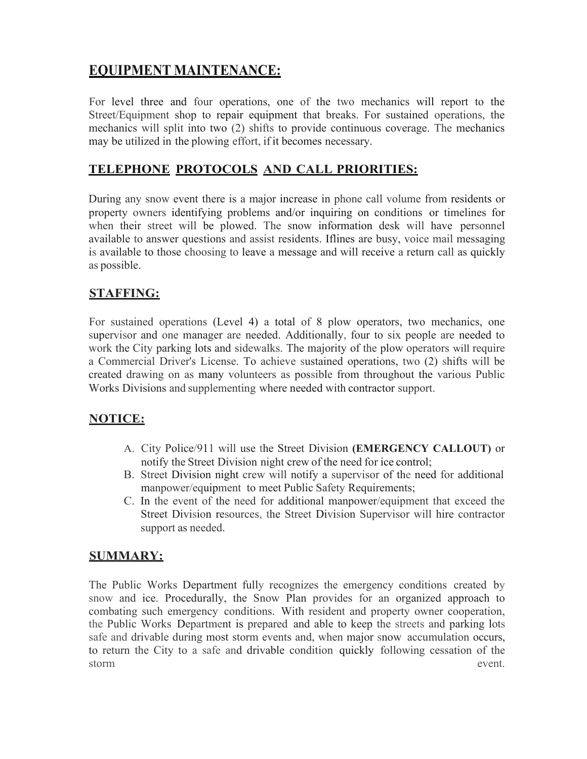# **EQUIPMENT MAINTENANCE:**

For level three and four operations, one of the two mechanics will report to the Street/Equipment shop to repair equipment that breaks. For sustained operations, the mechanics will split into two (2) shifts to provide continuous coverage. The mechanics may be utilized in the plowing effort, if it becomes necessary.

## **TELEPHONE PROTOCOLS AND CALL PRIORITIES:**

During any snow event there is a major increase in phone call volume from residents or property owners identifying problems and/or inquiring on conditions or timelines for when their street will be plowed. The snow information desk will have personnel available to answer questions and assist residents. Iflines are busy, voice mail messaging is available to those choosing to leave a message and will receive a return call as quickly as possible.

### **STAFFING:**

For sustained operations (Level 4) a total of 8 plow operators, two mechanics, one supervisor and one manager are needed. Additionally, four to six people are needed to work the City parking lots and sidewalks. The majority of the plow operators will require a Commercial Driver's License. To achieve sustained operations, two (2) shifts will be created drawing on as many volunteers as possible from throughout the various Public Works Divisions and supplementing where needed with contractor support.

## **NOTICE:**

- A. City Police/911 will use the Street Division **(EMERGENCY CALLOUT)** or notify the Street Division night crew of the need for ice control;
- B. Street Division night crew will notify a supervisor of the need for additional manpower/equipment to meet Public Safety Requirements;
- C. In the event of the need for additional manpower/equipment that exceed the Street Division resources, the Street Division Supervisor will hire contractor support as needed.

## **SUMMARY:**

The Public Works Department fully recognizes the emergency conditions created by snow and ice. Procedurally, the Snow Plan provides for an organized approach to combating such emergency conditions. With resident and property owner cooperation, the Public Works Department is prepared and able to keep the streets and parking lots safe and drivable during most storm events and, when major snow accumulation occurs, to return the City to a safe and drivable condition quickly following cessation of the storm event.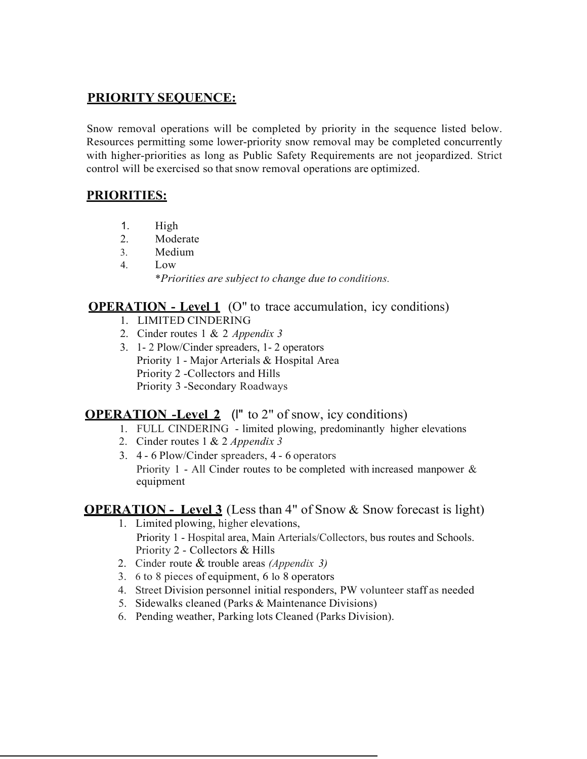#### **PRIORITY SEQUENCE:**

Snow removal operations will be completed by priority in the sequence listed below. Resources permitting some lower-priority snow removal may be completed concurrently with higher-priorities as long as Public Safety Requirements are not jeopardized. Strict control will be exercised so that snow removal operations are optimized.

## **PRIORITIES:**

- 1. High
- 2. Moderate
- 3. Medium
- 4. Low \**Priorities are subject to change due to conditions.*

#### **OPERATION** - Level 1 (O" to trace accumulation, icy conditions)

- 1. LIMITED CINDERING
- 2. Cinder routes 1 & 2 *Appendix 3*
- 3. 1- 2 Plow/Cinder spreaders, 1- 2 operators Priority 1 - Major Arterials & Hospital Area Priority 2 -Collectors and Hills Priority 3 -Secondary Roadways

## **OPERATION -Level 2** (l" to 2" of snow, icy conditions)

- 1. FULL CINDERING limited plowing, predominantly higher elevations
- 2. Cinder routes 1 & 2 *Appendix 3*
- 3. 4 6 Plow/Cinder spreaders, 4 6 operators Priority 1 - All Cinder routes to be completed with increased manpower  $\&$ equipment

#### **OPERATION** - Level 3 (Less than 4" of Snow & Snow forecast is light)

- 1. Limited plowing, higher elevations, Priority 1 - Hospital area, Main Arterials/Collectors, bus routes and Schools. Priority 2 - Collectors & Hills
- 2. Cinder route & trouble areas *(Appendix 3)*
- 3. 6 to 8 pieces of equipment, 6 lo 8 operators
- 4. Street Division personnel initial responders, PW volunteer staff as needed
- 5. Sidewalks cleaned (Parks & Maintenance Divisions)
- 6. Pending weather, Parking lots Cleaned (Parks Division).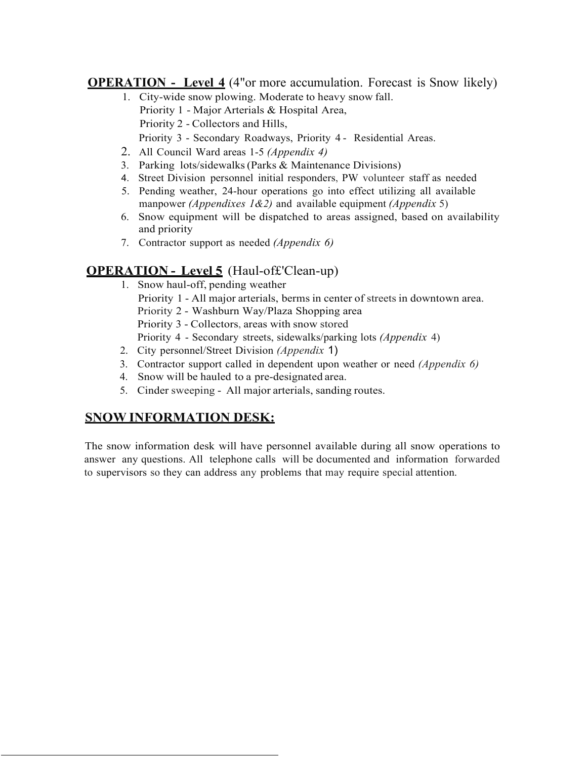**OPERATION** - Level 4 (4"or more accumulation. Forecast is Snow likely)

- 1. City-wide snow plowing. Moderate to heavy snow fall. Priority 1 - Major Arterials & Hospital Area, Priority 2 - Collectors and Hills,
	- Priority 3 Secondary Roadways, Priority 4 Residential Areas.
- 2. All Council Ward areas 1-5 *(Appendix 4)*
- 3. Parking lots/sidewalks(Parks & Maintenance Divisions)
- 4. Street Division personnel initial responders, PW volunteer staff as needed
- 5. Pending weather, 24-hour operations go into effect utilizing all available manpower *(Appendixes 1&2)* and available equipment *(Appendix* 5)
- 6. Snow equipment will be dispatched to areas assigned, based on availability and priority
- 7. Contractor support as needed *(Appendix 6)*

## **OPERATION - Level 5** (Haul-of£'Clean-up)

- 1. Snow haul-off, pending weather
	- Priority 1 All major arterials, berms in center of streets in downtown area.
	- Priority 2 Washburn Way/Plaza Shopping area

Priority 3 - Collectors, areas with snow stored

Priority 4 - Secondary streets, sidewalks/parking lots *(Appendix* 4)

- 2. City personnel/Street Division *(Appendix* 1)
- 3. Contractor support called in dependent upon weather or need *(Appendix 6)*
- 4. Snow will be hauled to a pre-designated area.
- 5. Cinder sweeping All major arterials, sanding routes.

#### **SNOW INFORMATION DESK:**

The snow information desk will have personnel available during all snow operations to answer any questions. All telephone calls will be documented and information forwarded to supervisors so they can address any problems that may require special attention.